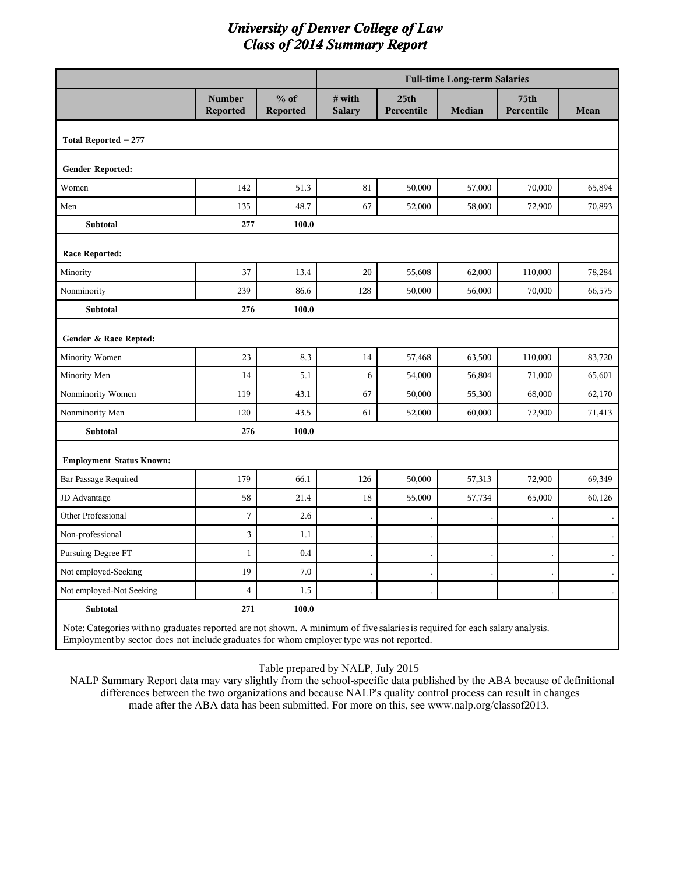|                                                                                                                                                                                                                         |                           |                    |                         |                                | <b>Full-time Long-term Salaries</b> |                    |        |
|-------------------------------------------------------------------------------------------------------------------------------------------------------------------------------------------------------------------------|---------------------------|--------------------|-------------------------|--------------------------------|-------------------------------------|--------------------|--------|
|                                                                                                                                                                                                                         | <b>Number</b><br>Reported | $%$ of<br>Reported | # with<br><b>Salary</b> | 25 <sub>th</sub><br>Percentile | Median                              | 75th<br>Percentile | Mean   |
| Total Reported $= 277$                                                                                                                                                                                                  |                           |                    |                         |                                |                                     |                    |        |
| Gender Reported:                                                                                                                                                                                                        |                           |                    |                         |                                |                                     |                    |        |
| Women                                                                                                                                                                                                                   | 142                       | 51.3               | 81                      | 50,000                         | 57,000                              | 70,000             | 65,894 |
| Men                                                                                                                                                                                                                     | 135                       | 48.7               | 67                      | 52,000                         | 58,000                              | 72,900             | 70,893 |
| <b>Subtotal</b>                                                                                                                                                                                                         | 277                       | 100.0              |                         |                                |                                     |                    |        |
| Race Reported:                                                                                                                                                                                                          |                           |                    |                         |                                |                                     |                    |        |
| Minority                                                                                                                                                                                                                | 37                        | 13.4               | 20                      | 55,608                         | 62,000                              | 110,000            | 78,284 |
| Nonminority                                                                                                                                                                                                             | 239                       | 86.6               | 128                     | 50,000                         | 56,000                              | 70,000             | 66,575 |
| Subtotal                                                                                                                                                                                                                | 276                       | 100.0              |                         |                                |                                     |                    |        |
| Gender & Race Repted:                                                                                                                                                                                                   |                           |                    |                         |                                |                                     |                    |        |
| Minority Women                                                                                                                                                                                                          | 23                        | 8.3                | 14                      | 57,468                         | 63,500                              | 110,000            | 83,720 |
| Minority Men                                                                                                                                                                                                            | 14                        | 5.1                | 6                       | 54,000                         | 56,804                              | 71,000             | 65,601 |
| Nonminority Women                                                                                                                                                                                                       | 119                       | 43.1               | 67                      | 50,000                         | 55,300                              | 68,000             | 62,170 |
| Nonminority Men                                                                                                                                                                                                         | 120                       | 43.5               | 61                      | 52,000                         | 60,000                              | 72,900             | 71,413 |
| <b>Subtotal</b>                                                                                                                                                                                                         | 276                       | 100.0              |                         |                                |                                     |                    |        |
| <b>Employment Status Known:</b>                                                                                                                                                                                         |                           |                    |                         |                                |                                     |                    |        |
| Bar Passage Required                                                                                                                                                                                                    | 179                       | 66.1               | 126                     | 50,000                         | 57,313                              | 72,900             | 69,349 |
| JD Advantage                                                                                                                                                                                                            | 58                        | 21.4               | 18                      | 55,000                         | 57,734                              | 65,000             | 60,126 |
| Other Professional                                                                                                                                                                                                      | 7                         | 2.6                |                         |                                |                                     |                    |        |
| Non-professional                                                                                                                                                                                                        | 3                         | 1.1                |                         |                                |                                     |                    |        |
| Pursuing Degree FT                                                                                                                                                                                                      | $\mathbf{1}$              | 0.4                |                         |                                |                                     |                    |        |
| Not employed-Seeking                                                                                                                                                                                                    | 19                        | 7.0                |                         |                                |                                     |                    |        |
| Not employed-Not Seeking                                                                                                                                                                                                | $\overline{4}$            | 1.5                |                         |                                |                                     |                    |        |
| Subtotal                                                                                                                                                                                                                | 271                       | 100.0              |                         |                                |                                     |                    |        |
| Note: Categories with no graduates reported are not shown. A minimum of five salaries is required for each salary analysis.<br>Employment by sector does not include graduates for whom employer type was not reported. |                           |                    |                         |                                |                                     |                    |        |

#### Table prepared by NALP, July 2015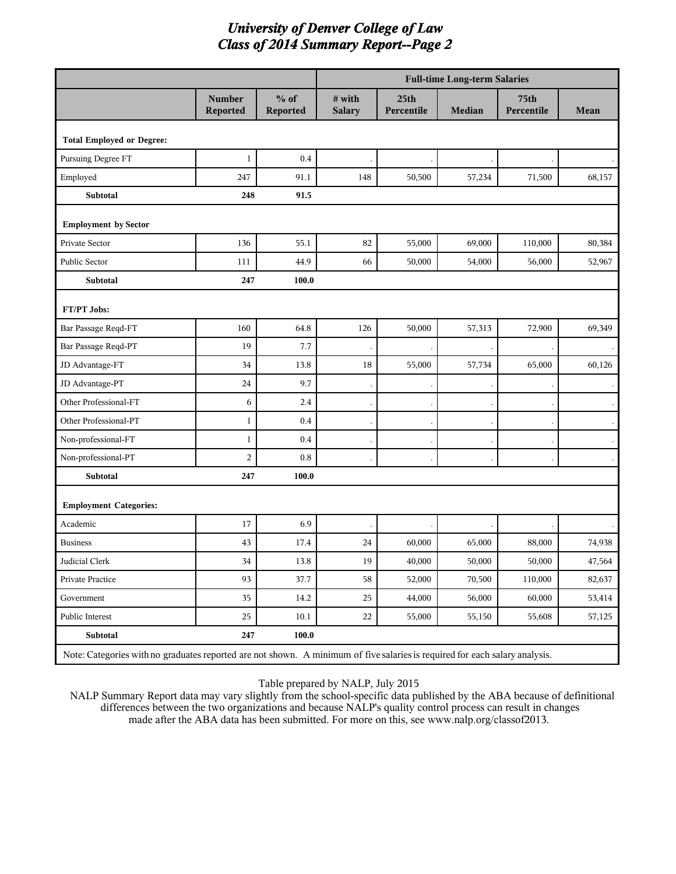|                                                                                                                             |                           |                    |                         |                                | <b>Full-time Long-term Salaries</b> |                    |        |
|-----------------------------------------------------------------------------------------------------------------------------|---------------------------|--------------------|-------------------------|--------------------------------|-------------------------------------|--------------------|--------|
|                                                                                                                             | <b>Number</b><br>Reported | $%$ of<br>Reported | # with<br><b>Salary</b> | 25 <sub>th</sub><br>Percentile | Median                              | 75th<br>Percentile | Mean   |
| <b>Total Employed or Degree:</b>                                                                                            |                           |                    |                         |                                |                                     |                    |        |
| Pursuing Degree FT                                                                                                          | $\mathbf{1}$              | 0.4                |                         |                                |                                     |                    |        |
| Employed                                                                                                                    | 247                       | 91.1               | 148                     | 50,500                         | 57,234                              | 71,500             | 68,157 |
| Subtotal                                                                                                                    | 248                       | 91.5               |                         |                                |                                     |                    |        |
| <b>Employment by Sector</b>                                                                                                 |                           |                    |                         |                                |                                     |                    |        |
| Private Sector                                                                                                              | 136                       | 55.1               | 82                      | 55,000                         | 69,000                              | 110,000            | 80,384 |
| Public Sector                                                                                                               | 111                       | 44.9               | 66                      | 50,000                         | 54,000                              | 56,000             | 52,967 |
| Subtotal                                                                                                                    | 247                       | 100.0              |                         |                                |                                     |                    |        |
| FT/PT Jobs:                                                                                                                 |                           |                    |                         |                                |                                     |                    |        |
| Bar Passage Reqd-FT                                                                                                         | 160                       | 64.8               | 126                     | 50,000                         | 57,313                              | 72,900             | 69,349 |
| Bar Passage Reqd-PT                                                                                                         | 19                        | 7.7                |                         |                                |                                     |                    |        |
| JD Advantage-FT                                                                                                             | 34                        | 13.8               | 18                      | 55,000                         | 57,734                              | 65,000             | 60,126 |
| JD Advantage-PT                                                                                                             | $24\,$                    | 9.7                |                         |                                |                                     |                    |        |
| Other Professional-FT                                                                                                       | 6                         | 2.4                |                         |                                |                                     |                    |        |
| Other Professional-PT                                                                                                       | $\mathbf{1}$              | 0.4                |                         |                                |                                     |                    |        |
| Non-professional-FT                                                                                                         | $\mathbf{1}$              | 0.4                |                         |                                |                                     |                    |        |
| Non-professional-PT                                                                                                         | $\overline{c}$            | 0.8                |                         |                                |                                     |                    |        |
| Subtotal                                                                                                                    | 247                       | 100.0              |                         |                                |                                     |                    |        |
| <b>Employment Categories:</b>                                                                                               |                           |                    |                         |                                |                                     |                    |        |
| Academic                                                                                                                    | 17                        | 6.9                |                         |                                |                                     |                    |        |
| <b>Business</b>                                                                                                             | 43                        | 17.4               | 24                      | 60,000                         | 65,000                              | 88,000             | 74,938 |
| Judicial Clerk                                                                                                              | 34                        | 13.8               | 19                      | 40,000                         | 50,000                              | 50,000             | 47,564 |
| Private Practice                                                                                                            | 93                        | 37.7               | 58                      | 52,000                         | 70,500                              | 110,000            | 82,637 |
| Government                                                                                                                  | 35                        | 14.2               | $25\,$                  | 44,000                         | 56,000                              | 60,000             | 53,414 |
| Public Interest                                                                                                             | $25\,$                    | 10.1               | $22\,$                  | 55,000                         | 55,150                              | 55,608             | 57,125 |
| Subtotal                                                                                                                    | 247                       | 100.0              |                         |                                |                                     |                    |        |
| Note: Categories with no graduates reported are not shown. A minimum of five salaries is required for each salary analysis. |                           |                    |                         |                                |                                     |                    |        |

Table prepared by NALP, July 2015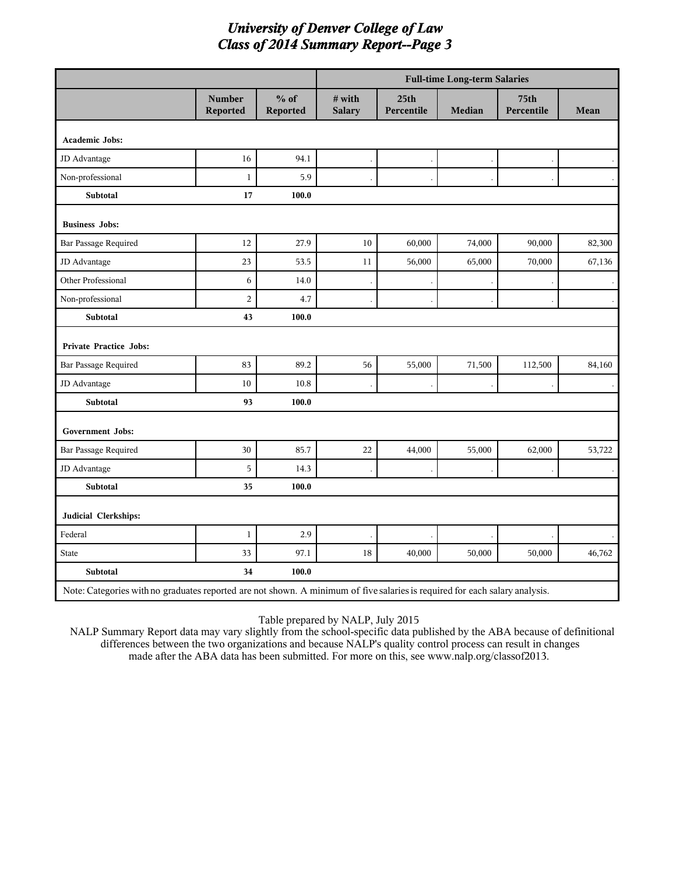|                                                                                                                             |                           |                    |                         |                                | <b>Full-time Long-term Salaries</b> |                                |        |
|-----------------------------------------------------------------------------------------------------------------------------|---------------------------|--------------------|-------------------------|--------------------------------|-------------------------------------|--------------------------------|--------|
|                                                                                                                             | <b>Number</b><br>Reported | $%$ of<br>Reported | # with<br><b>Salary</b> | 25 <sub>th</sub><br>Percentile | Median                              | 75 <sub>th</sub><br>Percentile | Mean   |
| Academic Jobs:                                                                                                              |                           |                    |                         |                                |                                     |                                |        |
| JD Advantage                                                                                                                | 16                        | 94.1               |                         |                                |                                     |                                |        |
| Non-professional                                                                                                            | $\mathbf{1}$              | 5.9                |                         |                                |                                     |                                |        |
| Subtotal                                                                                                                    | 17                        | 100.0              |                         |                                |                                     |                                |        |
| <b>Business Jobs:</b>                                                                                                       |                           |                    |                         |                                |                                     |                                |        |
| Bar Passage Required                                                                                                        | 12                        | 27.9               | $10\,$                  | 60,000                         | 74,000                              | 90,000                         | 82,300 |
| JD Advantage                                                                                                                | 23                        | 53.5               | 11                      | 56,000                         | 65,000                              | 70,000                         | 67,136 |
| Other Professional                                                                                                          | 6                         | 14.0               |                         |                                |                                     |                                |        |
| Non-professional                                                                                                            | $\overline{c}$            | 4.7                |                         |                                |                                     |                                |        |
| Subtotal                                                                                                                    | 43                        | 100.0              |                         |                                |                                     |                                |        |
| <b>Private Practice Jobs:</b>                                                                                               |                           |                    |                         |                                |                                     |                                |        |
| <b>Bar Passage Required</b>                                                                                                 | 83                        | 89.2               | 56                      | 55,000                         | 71,500                              | 112,500                        | 84,160 |
| JD Advantage                                                                                                                | 10                        | 10.8               |                         |                                |                                     |                                |        |
| Subtotal                                                                                                                    | 93                        | 100.0              |                         |                                |                                     |                                |        |
| Government Jobs:                                                                                                            |                           |                    |                         |                                |                                     |                                |        |
| <b>Bar Passage Required</b>                                                                                                 | 30                        | 85.7               | 22                      | 44,000                         | 55,000                              | 62,000                         | 53,722 |
| JD Advantage                                                                                                                | 5                         | 14.3               |                         |                                |                                     |                                |        |
| Subtotal                                                                                                                    | 35                        | 100.0              |                         |                                |                                     |                                |        |
| Judicial Clerkships:                                                                                                        |                           |                    |                         |                                |                                     |                                |        |
| Federal                                                                                                                     | $\mathbf{1}$              | 2.9                |                         |                                |                                     |                                |        |
| <b>State</b>                                                                                                                | 33                        | 97.1               | 18                      | 40,000                         | 50,000                              | 50,000                         | 46,762 |
| Subtotal                                                                                                                    | 34                        | 100.0              |                         |                                |                                     |                                |        |
| Note: Categories with no graduates reported are not shown. A minimum of five salaries is required for each salary analysis. |                           |                    |                         |                                |                                     |                                |        |

Table prepared by NALP, July 2015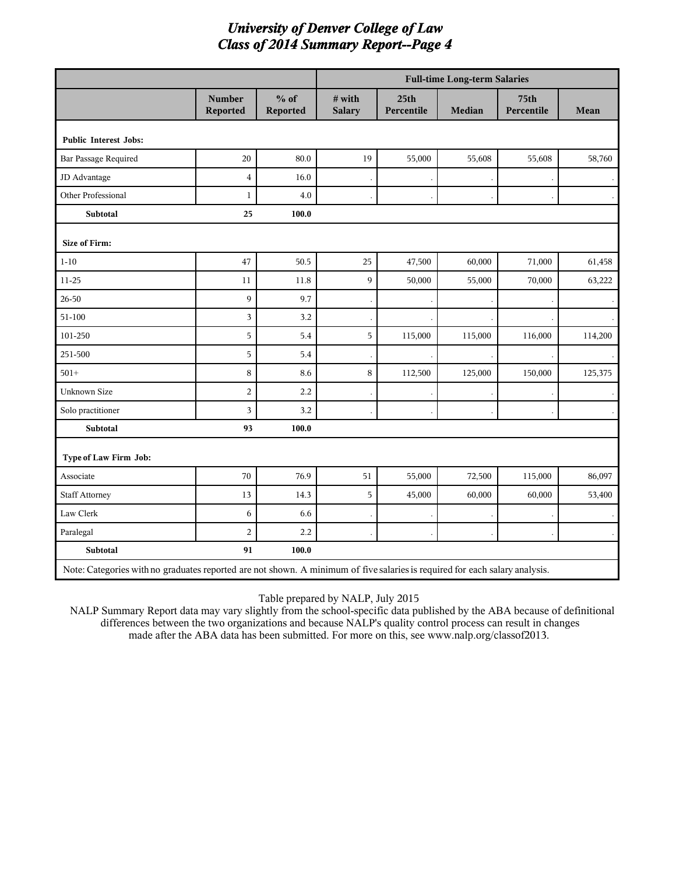|                                                                                                                             |                           |                    |                         |                                | <b>Full-time Long-term Salaries</b> |                                |         |  |  |  |
|-----------------------------------------------------------------------------------------------------------------------------|---------------------------|--------------------|-------------------------|--------------------------------|-------------------------------------|--------------------------------|---------|--|--|--|
|                                                                                                                             | <b>Number</b><br>Reported | $%$ of<br>Reported | # with<br><b>Salary</b> | 25 <sub>th</sub><br>Percentile | Median                              | 75 <sub>th</sub><br>Percentile | Mean    |  |  |  |
| <b>Public Interest Jobs:</b>                                                                                                |                           |                    |                         |                                |                                     |                                |         |  |  |  |
| <b>Bar Passage Required</b>                                                                                                 | 20                        | 80.0               | 19                      | 55,000                         | 55,608                              | 55,608                         | 58,760  |  |  |  |
| JD Advantage                                                                                                                | $\overline{4}$            | 16.0               |                         |                                |                                     |                                |         |  |  |  |
| Other Professional                                                                                                          | $\mathbf{1}$              | 4.0                |                         |                                |                                     |                                |         |  |  |  |
| Subtotal                                                                                                                    | 25                        | 100.0              |                         |                                |                                     |                                |         |  |  |  |
| <b>Size of Firm:</b>                                                                                                        |                           |                    |                         |                                |                                     |                                |         |  |  |  |
| $1 - 10$                                                                                                                    | 47                        | 50.5               | $25\,$                  | 47,500                         | 60,000                              | 71,000                         | 61,458  |  |  |  |
| $11 - 25$                                                                                                                   | 11                        | 11.8               | 9                       | 50,000                         | 55,000                              | 70,000                         | 63,222  |  |  |  |
| $26 - 50$                                                                                                                   | 9                         | 9.7                |                         |                                |                                     |                                |         |  |  |  |
| 51-100                                                                                                                      | 3                         | 3.2                |                         |                                |                                     |                                |         |  |  |  |
| 101-250                                                                                                                     | 5                         | 5.4                | 5                       | 115,000                        | 115,000                             | 116,000                        | 114,200 |  |  |  |
| 251-500                                                                                                                     | 5                         | 5.4                |                         |                                |                                     |                                |         |  |  |  |
| $501+$                                                                                                                      | 8                         | 8.6                | 8                       | 112,500                        | 125,000                             | 150,000                        | 125,375 |  |  |  |
| Unknown Size                                                                                                                | $\overline{c}$            | 2.2                |                         |                                |                                     |                                |         |  |  |  |
| Solo practitioner                                                                                                           | 3                         | 3.2                |                         |                                |                                     |                                |         |  |  |  |
| Subtotal                                                                                                                    | 93                        | 100.0              |                         |                                |                                     |                                |         |  |  |  |
| Type of Law Firm Job:                                                                                                       |                           |                    |                         |                                |                                     |                                |         |  |  |  |
| Associate                                                                                                                   | $70\,$                    | 76.9               | 51                      | 55,000                         | 72,500                              | 115,000                        | 86,097  |  |  |  |
| <b>Staff Attorney</b>                                                                                                       | 13                        | 14.3               | 5                       | 45,000                         | 60,000                              | 60,000                         | 53,400  |  |  |  |
| Law Clerk                                                                                                                   | 6                         | 6.6                |                         |                                |                                     |                                |         |  |  |  |
| Paralegal                                                                                                                   | $\sqrt{2}$                | 2.2                |                         |                                |                                     |                                |         |  |  |  |
| Subtotal                                                                                                                    | 91                        | 100.0              |                         |                                |                                     |                                |         |  |  |  |
| Note: Categories with no graduates reported are not shown. A minimum of five salaries is required for each salary analysis. |                           |                    |                         |                                |                                     |                                |         |  |  |  |

Table prepared by NALP, July 2015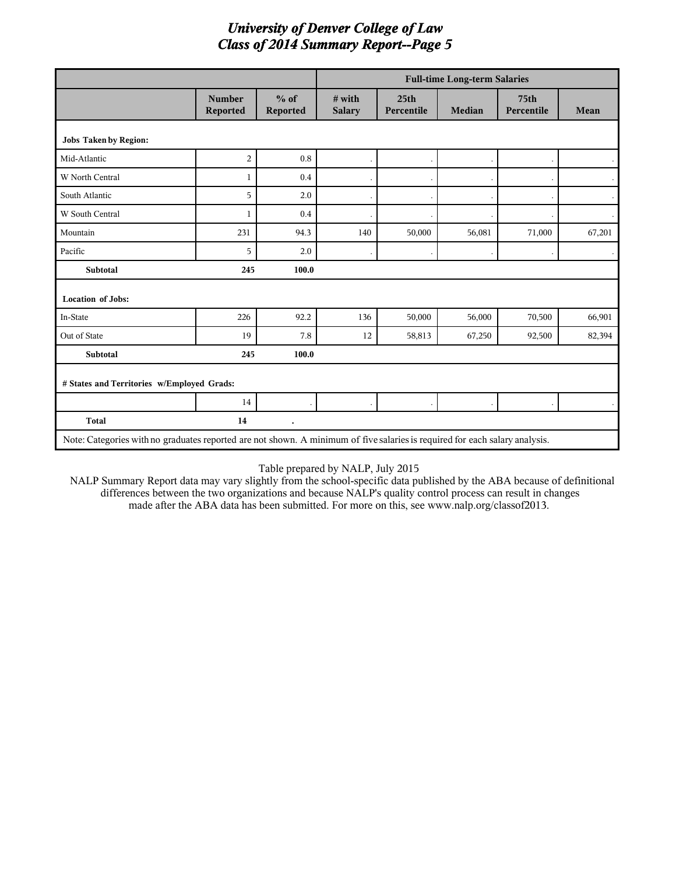|                                                                                                                             |                           |                    |                         |                                | <b>Full-time Long-term Salaries</b> |                                |        |
|-----------------------------------------------------------------------------------------------------------------------------|---------------------------|--------------------|-------------------------|--------------------------------|-------------------------------------|--------------------------------|--------|
|                                                                                                                             | <b>Number</b><br>Reported | $%$ of<br>Reported | # with<br><b>Salary</b> | 25 <sub>th</sub><br>Percentile | <b>Median</b>                       | 75 <sub>th</sub><br>Percentile | Mean   |
| <b>Jobs Taken by Region:</b>                                                                                                |                           |                    |                         |                                |                                     |                                |        |
| Mid-Atlantic                                                                                                                | $\overline{2}$            | 0.8                |                         |                                |                                     |                                |        |
| W North Central                                                                                                             | $\mathbf{1}$              | 0.4                |                         |                                |                                     |                                |        |
| South Atlantic                                                                                                              | 5                         | 2.0                |                         |                                |                                     |                                |        |
| W South Central                                                                                                             | 1                         | 0.4                |                         |                                |                                     |                                |        |
| Mountain                                                                                                                    | 231                       | 94.3               | 140                     | 50,000                         | 56,081                              | 71,000                         | 67,201 |
| Pacific                                                                                                                     | 5                         | 2.0                |                         |                                |                                     |                                |        |
| <b>Subtotal</b>                                                                                                             | 245                       | 100.0              |                         |                                |                                     |                                |        |
| Location of Jobs:                                                                                                           |                           |                    |                         |                                |                                     |                                |        |
| In-State                                                                                                                    | 226                       | 92.2               | 136                     | 50,000                         | 56,000                              | 70,500                         | 66,901 |
| Out of State                                                                                                                | 19                        | 7.8                | 12                      | 58,813                         | 67,250                              | 92,500                         | 82,394 |
| Subtotal                                                                                                                    | 245                       | 100.0              |                         |                                |                                     |                                |        |
| # States and Territories w/Employed Grads:                                                                                  |                           |                    |                         |                                |                                     |                                |        |
|                                                                                                                             | 14                        |                    |                         |                                |                                     |                                |        |
| <b>Total</b>                                                                                                                | 14                        |                    |                         |                                |                                     |                                |        |
| Note: Categories with no graduates reported are not shown. A minimum of five salaries is required for each salary analysis. |                           |                    |                         |                                |                                     |                                |        |

Table prepared by NALP, July 2015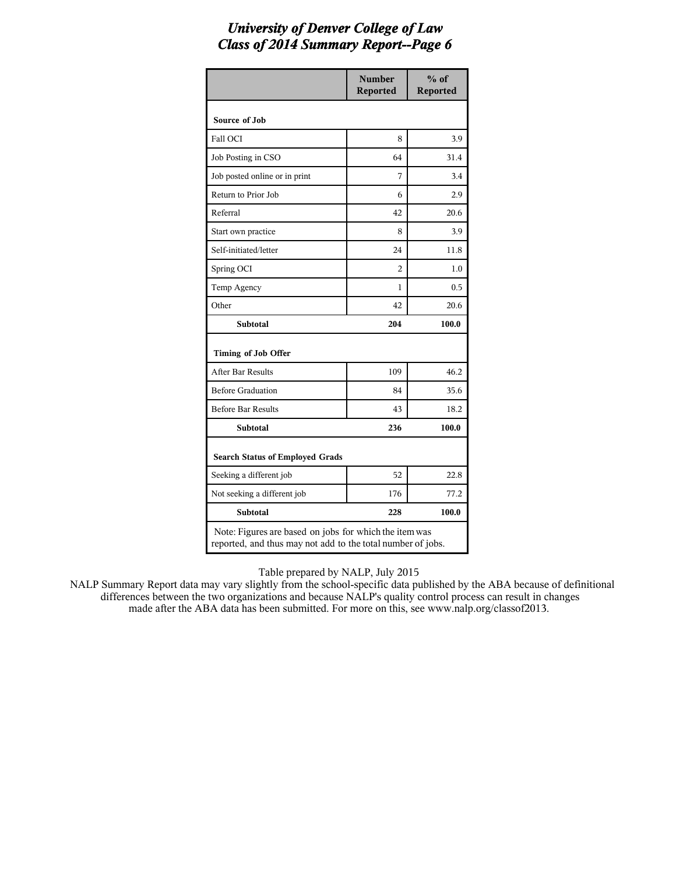|                                                                                                                       | <b>Number</b><br><b>Reported</b> | $%$ of<br><b>Reported</b> |
|-----------------------------------------------------------------------------------------------------------------------|----------------------------------|---------------------------|
| Source of Job                                                                                                         |                                  |                           |
| Fall OCI                                                                                                              | 8                                | 3.9                       |
| Job Posting in CSO                                                                                                    | 64                               | 31.4                      |
| Job posted online or in print                                                                                         | 7                                | 3.4                       |
| Return to Prior Job                                                                                                   | 6                                | 2.9                       |
| Referral                                                                                                              | 42                               | 20.6                      |
| Start own practice                                                                                                    | 8                                | 3.9                       |
| Self-initiated/letter                                                                                                 | 24                               | 11.8                      |
| Spring OCI                                                                                                            | 2                                | 1.0                       |
| Temp Agency                                                                                                           | 1                                | 0.5                       |
| Other                                                                                                                 | 42                               | 20.6                      |
| <b>Subtotal</b>                                                                                                       | 204                              | 100.0                     |
| Timing of Job Offer                                                                                                   |                                  |                           |
| After Bar Results                                                                                                     | 109                              | 46.2                      |
| <b>Before Graduation</b>                                                                                              | 84                               | 35.6                      |
| <b>Before Bar Results</b>                                                                                             | 43                               | 18.2                      |
| <b>Subtotal</b>                                                                                                       | 236                              | 100.0                     |
| <b>Search Status of Employed Grads</b>                                                                                |                                  |                           |
| Seeking a different job                                                                                               | 52                               | 22.8                      |
| Not seeking a different job                                                                                           | 176                              | 77.2                      |
| <b>Subtotal</b>                                                                                                       | 228                              | 100.0                     |
| Note: Figures are based on jobs for which the item was<br>reported, and thus may not add to the total number of jobs. |                                  |                           |

Table prepared by NALP, July 2015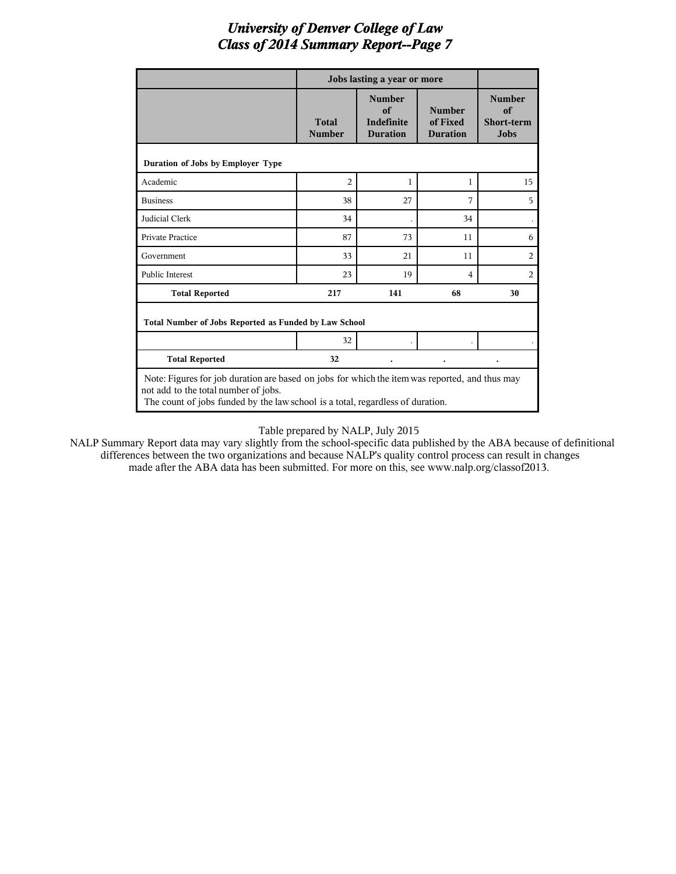|                                                                                                                                                                                                                          | Jobs lasting a year or more   |                                                             |                                              |                                                         |
|--------------------------------------------------------------------------------------------------------------------------------------------------------------------------------------------------------------------------|-------------------------------|-------------------------------------------------------------|----------------------------------------------|---------------------------------------------------------|
|                                                                                                                                                                                                                          | <b>Total</b><br><b>Number</b> | <b>Number</b><br>of<br><b>Indefinite</b><br><b>Duration</b> | <b>Number</b><br>of Fixed<br><b>Duration</b> | <b>Number</b><br>of<br><b>Short-term</b><br><b>Jobs</b> |
| Duration of Jobs by Employer Type                                                                                                                                                                                        |                               |                                                             |                                              |                                                         |
| Academic                                                                                                                                                                                                                 | $\overline{2}$                | 1                                                           | 1                                            | 15                                                      |
| <b>Business</b>                                                                                                                                                                                                          | 38                            | 27                                                          | 7                                            | 5                                                       |
| Judicial Clerk                                                                                                                                                                                                           | 34                            |                                                             | 34                                           |                                                         |
| <b>Private Practice</b>                                                                                                                                                                                                  | 87                            | 73                                                          | 11                                           | 6                                                       |
| Government                                                                                                                                                                                                               | 33                            | 21                                                          | 11                                           | $\overline{2}$                                          |
| <b>Public Interest</b>                                                                                                                                                                                                   | 23                            | 19                                                          | $\overline{4}$                               | $\overline{2}$                                          |
| <b>Total Reported</b>                                                                                                                                                                                                    | 217                           | 141                                                         | 68                                           | 30                                                      |
| Total Number of Jobs Reported as Funded by Law School                                                                                                                                                                    |                               |                                                             |                                              |                                                         |
|                                                                                                                                                                                                                          | 32                            |                                                             |                                              |                                                         |
| <b>Total Reported</b>                                                                                                                                                                                                    | 32                            |                                                             |                                              |                                                         |
| Note: Figures for job duration are based on jobs for which the item was reported, and thus may<br>not add to the total number of jobs.<br>The count of jobs funded by the law school is a total, regardless of duration. |                               |                                                             |                                              |                                                         |

#### Table prepared by NALP, July 2015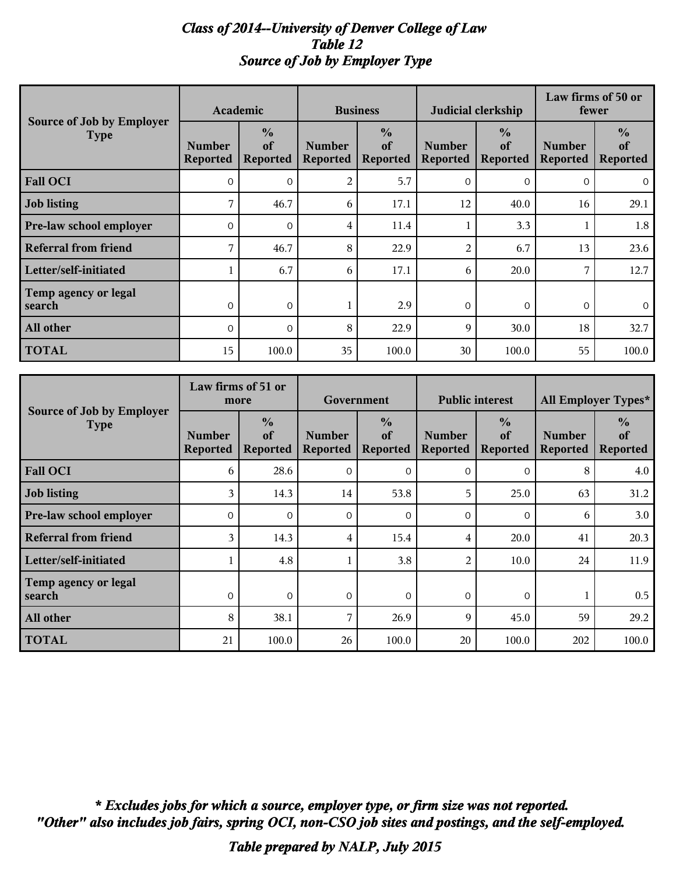### *Class of 2014--University of Denver College of Law Table 12 Source of Job by Employer Type*

| Source of Job by Employer      |                                  | Academic                               | <b>Business</b>                  |                                        |                                  | Judicial clerkship                     | Law firms of 50 or<br>fewer      |                                        |
|--------------------------------|----------------------------------|----------------------------------------|----------------------------------|----------------------------------------|----------------------------------|----------------------------------------|----------------------------------|----------------------------------------|
| <b>Type</b>                    | <b>Number</b><br><b>Reported</b> | $\frac{0}{0}$<br>of<br><b>Reported</b> | <b>Number</b><br><b>Reported</b> | $\frac{0}{0}$<br>of<br><b>Reported</b> | <b>Number</b><br><b>Reported</b> | $\frac{0}{0}$<br>of<br><b>Reported</b> | <b>Number</b><br><b>Reported</b> | $\frac{0}{0}$<br>of<br><b>Reported</b> |
| <b>Fall OCI</b>                | $\Omega$                         | $\Omega$                               | 2                                | 5.7                                    | $\Omega$                         | $\Omega$                               | $\Omega$                         | $\Omega$                               |
| <b>Job listing</b>             | 7                                | 46.7                                   | 6                                | 17.1                                   | 12                               | 40.0                                   | 16                               | 29.1                                   |
| Pre-law school employer        | $\Omega$                         | $\Omega$                               | 4                                | 11.4                                   |                                  | 3.3                                    |                                  | 1.8                                    |
| <b>Referral from friend</b>    | 7                                | 46.7                                   | 8                                | 22.9                                   | $\overline{2}$                   | 6.7                                    | 13                               | 23.6                                   |
| Letter/self-initiated          |                                  | 6.7                                    | 6                                | 17.1                                   | 6                                | 20.0                                   |                                  | 12.7                                   |
| Temp agency or legal<br>search | $\Omega$                         | $\Omega$                               |                                  | 2.9                                    | $\Omega$                         | $\Omega$                               | $\Omega$                         | $\Omega$                               |
| All other                      | $\Omega$                         | $\Omega$                               | 8                                | 22.9                                   | 9                                | 30.0                                   | 18                               | 32.7                                   |
| <b>TOTAL</b>                   | 15                               | 100.0                                  | 35                               | 100.0                                  | 30                               | 100.0                                  | 55                               | 100.0                                  |

| <b>Source of Job by Employer</b> |                                  | Law firms of 51 or<br>more             | Government                |                                        | <b>Public interest</b>    |                                        | All Employer Types*              |                                        |
|----------------------------------|----------------------------------|----------------------------------------|---------------------------|----------------------------------------|---------------------------|----------------------------------------|----------------------------------|----------------------------------------|
| <b>Type</b>                      | <b>Number</b><br><b>Reported</b> | $\frac{0}{0}$<br>of<br><b>Reported</b> | <b>Number</b><br>Reported | $\frac{0}{0}$<br>of<br><b>Reported</b> | <b>Number</b><br>Reported | $\frac{0}{0}$<br>of<br><b>Reported</b> | <b>Number</b><br><b>Reported</b> | $\frac{0}{0}$<br>of<br><b>Reported</b> |
| <b>Fall OCI</b>                  | 6                                | 28.6                                   | $\Omega$                  | $\Omega$                               | $\Omega$                  | $\Omega$                               | 8                                | 4.0                                    |
| <b>Job listing</b>               | 3                                | 14.3                                   | 14                        | 53.8                                   | 5                         | 25.0                                   | 63                               | 31.2                                   |
| Pre-law school employer          | $\Omega$                         | $\Omega$                               | $\Omega$                  | $\Omega$                               | $\Omega$                  | $\Omega$                               | 6                                | 3.0                                    |
| <b>Referral from friend</b>      | 3                                | 14.3                                   | 4                         | 15.4                                   | 4                         | 20.0                                   | 41                               | 20.3                                   |
| Letter/self-initiated            |                                  | 4.8                                    |                           | 3.8                                    | 2                         | 10.0                                   | 24                               | 11.9                                   |
| Temp agency or legal<br>search   | $\overline{0}$                   | $\overline{0}$                         | $\overline{0}$            | $\overline{0}$                         | $\overline{0}$            | $\overline{0}$                         |                                  | 0.5                                    |
| All other                        | 8                                | 38.1                                   | 7                         | 26.9                                   | 9                         | 45.0                                   | 59                               | 29.2                                   |
| <b>TOTAL</b>                     | 21                               | 100.0                                  | 26                        | 100.0                                  | 20                        | 100.0                                  | 202                              | 100.0                                  |

*"Other" also includes job fairs, spring OCI, non-CSO job sites and postings, and the self-employed. \* Excludes jobs for which a source, employer type, or firm size was not reported.*

*Table prepared by NALP, July 2015*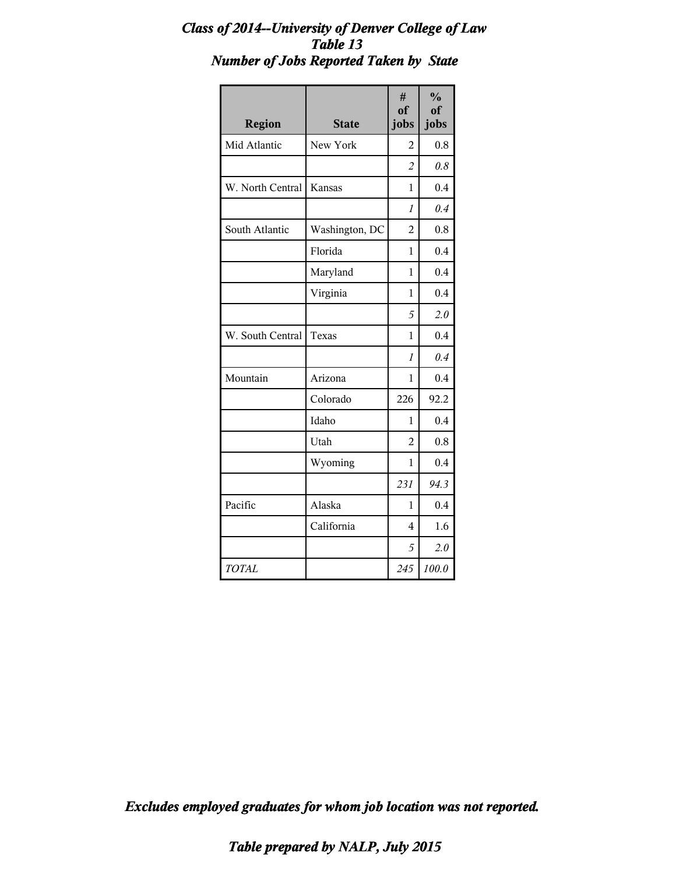### *Class of 2014--University of Denver College of Law Table 13 Number of Jobs Reported Taken by State*

| <b>Region</b>    | <b>State</b>   | #<br>of<br>jobs | $\frac{0}{0}$<br>of<br>jobs |
|------------------|----------------|-----------------|-----------------------------|
| Mid Atlantic     | New York       | 2               | 0.8                         |
|                  |                | $\overline{c}$  | 0.8                         |
| W. North Central | Kansas         | 1               | 0.4                         |
|                  |                | $\mathcal{I}$   | 0.4                         |
| South Atlantic   | Washington, DC | $\overline{2}$  | 0.8                         |
|                  | Florida        | 1               | 0.4                         |
|                  | Maryland       | 1               | 0.4                         |
|                  | Virginia       | 1               | 0.4                         |
|                  |                | 5               | 2.0                         |
| W. South Central | Texas          | 1               | 0.4                         |
|                  |                | 1               | 0.4                         |
| Mountain         | Arizona        | 1               | 0.4                         |
|                  | Colorado       | 226             | 92.2                        |
|                  | Idaho          | 1               | 0.4                         |
|                  | Utah           | $\overline{2}$  | 0.8                         |
|                  | Wyoming        | 1               | 0.4                         |
|                  |                | 231             | 94.3                        |
| Pacific          | Alaska         | 1               | 0.4                         |
|                  | California     | 4               | 1.6                         |
|                  |                | 5               | 2.0                         |
| TOTAL            |                | 245             | 100.0                       |

*Excludes employed graduates for whom job location was not reported.*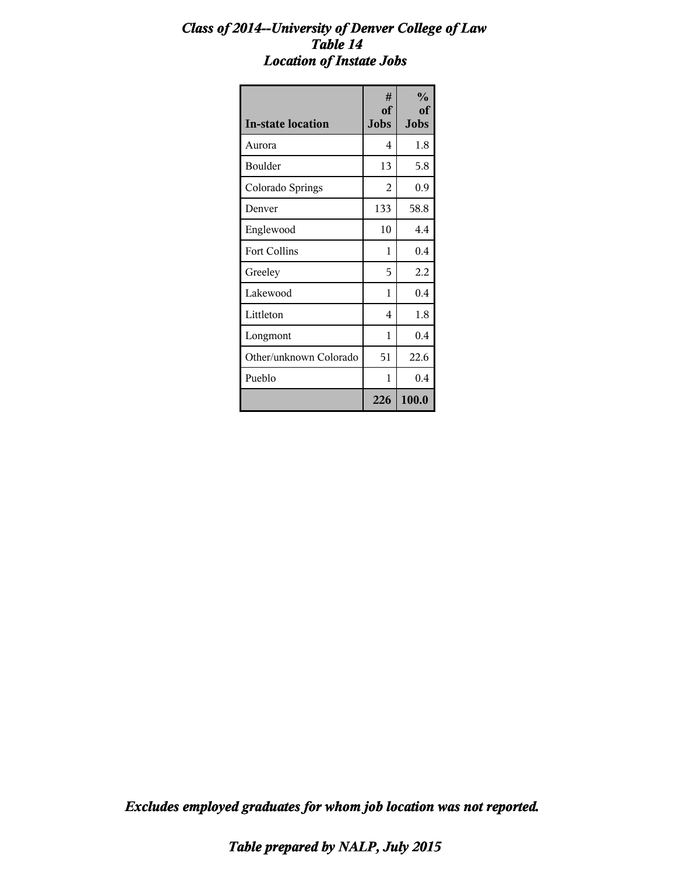### *Class of 2014--University of Denver College of Law Table 14 Location of Instate Jobs*

| <b>In-state location</b> | #<br><sub>of</sub><br>Jobs | $\frac{0}{0}$<br>of<br><b>Jobs</b> |
|--------------------------|----------------------------|------------------------------------|
| Aurora                   | 4                          | 1.8                                |
| <b>Boulder</b>           | 13                         | 5.8                                |
| Colorado Springs         | 2                          | 0.9                                |
| Denver                   | 133                        | 58.8                               |
| Englewood                | 10                         | 4.4                                |
| <b>Fort Collins</b>      | 1                          | 0.4                                |
| Greeley                  | 5                          | 2.2                                |
| Lakewood                 | 1                          | 0.4                                |
| Littleton                | 4                          | 1.8                                |
| Longmont                 | 1                          | 0.4                                |
| Other/unknown Colorado   | 51                         | 22.6                               |
| Pueblo                   | 1                          | 0.4                                |
|                          | 226                        | 100.0                              |

*Excludes employed graduates for whom job location was not reported.*